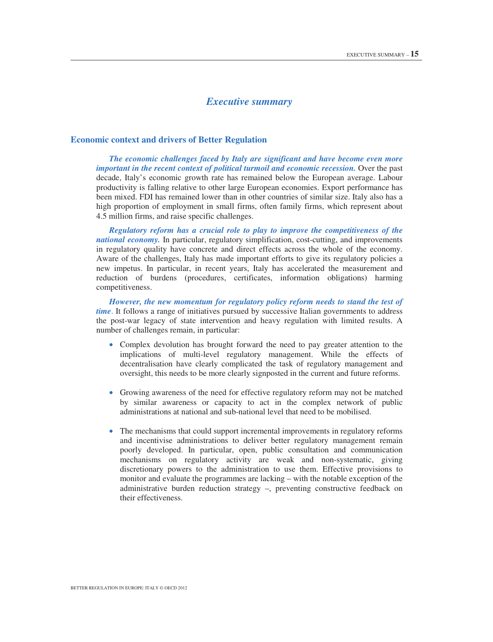# *Executive summary*

### **Economic context and drivers of Better Regulation**

*The economic challenges faced by Italy are significant and have become even more important in the recent context of political turmoil and economic recession.* Over the past decade, Italy's economic growth rate has remained below the European average. Labour productivity is falling relative to other large European economies. Export performance has been mixed. FDI has remained lower than in other countries of similar size. Italy also has a high proportion of employment in small firms, often family firms, which represent about 4.5 million firms, and raise specific challenges.

*Regulatory reform has a crucial role to play to improve the competitiveness of the national economy*. In particular, regulatory simplification, cost-cutting, and improvements in regulatory quality have concrete and direct effects across the whole of the economy. Aware of the challenges, Italy has made important efforts to give its regulatory policies a new impetus. In particular, in recent years, Italy has accelerated the measurement and reduction of burdens (procedures, certificates, information obligations) harming competitiveness.

*However, the new momentum for regulatory policy reform needs to stand the test of time*. It follows a range of initiatives pursued by successive Italian governments to address the post-war legacy of state intervention and heavy regulation with limited results. A number of challenges remain, in particular:

- Complex devolution has brought forward the need to pay greater attention to the implications of multi-level regulatory management. While the effects of decentralisation have clearly complicated the task of regulatory management and oversight, this needs to be more clearly signposted in the current and future reforms.
- Growing awareness of the need for effective regulatory reform may not be matched by similar awareness or capacity to act in the complex network of public administrations at national and sub-national level that need to be mobilised.
- The mechanisms that could support incremental improvements in regulatory reforms and incentivise administrations to deliver better regulatory management remain poorly developed. In particular, open, public consultation and communication mechanisms on regulatory activity are weak and non-systematic, giving discretionary powers to the administration to use them. Effective provisions to monitor and evaluate the programmes are lacking – with the notable exception of the administrative burden reduction strategy –, preventing constructive feedback on their effectiveness.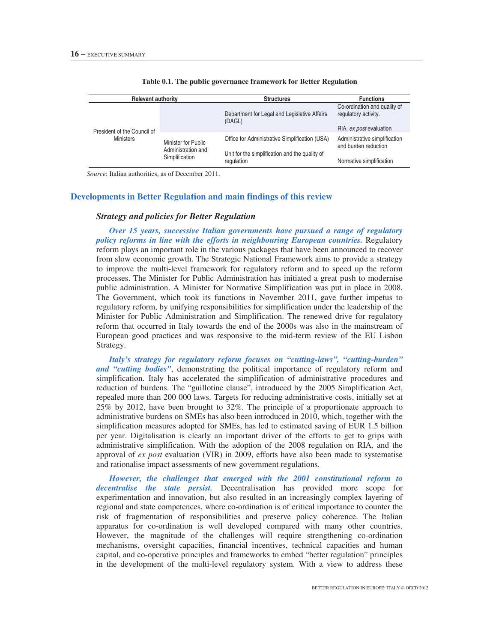| <b>Relevant authority</b>   |                                      | <b>Structures</b>                                            | <b>Functions</b>                                      |
|-----------------------------|--------------------------------------|--------------------------------------------------------------|-------------------------------------------------------|
|                             |                                      | Department for Legal and Legislative Affairs<br>(DAGL)       | Co-ordination and quality of<br>regulatory activity.  |
| President of the Council of |                                      |                                                              | RIA, ex post evaluation                               |
| <b>Ministers</b>            | Minister for Public                  | Office for Administrative Simplification (USA)               | Administrative simplification<br>and burden reduction |
|                             | Administration and<br>Simplification | Unit for the simplification and the quality of<br>regulation | Normative simplification                              |

#### **Table 0.1. The public governance framework for Better Regulation**

*Source*: Italian authorities, as of December 2011.

#### **Developments in Better Regulation and main findings of this review**

#### *Strategy and policies for Better Regulation*

*Over 15 years, successive Italian governments have pursued a range of regulatory policy reforms in line with the efforts in neighbouring European countries.* Regulatory reform plays an important role in the various packages that have been announced to recover from slow economic growth. The Strategic National Framework aims to provide a strategy to improve the multi-level framework for regulatory reform and to speed up the reform processes. The Minister for Public Administration has initiated a great push to modernise public administration. A Minister for Normative Simplification was put in place in 2008. The Government, which took its functions in November 2011, gave further impetus to regulatory reform, by unifying responsibilities for simplification under the leadership of the Minister for Public Administration and Simplification. The renewed drive for regulatory reform that occurred in Italy towards the end of the 2000s was also in the mainstream of European good practices and was responsive to the mid-term review of the EU Lisbon Strategy.

*Italy's strategy for regulatory reform focuses on "cutting-laws", "cutting-burden" and "cutting bodies"*, demonstrating the political importance of regulatory reform and simplification. Italy has accelerated the simplification of administrative procedures and reduction of burdens. The "guillotine clause", introduced by the 2005 Simplification Act, repealed more than 200 000 laws. Targets for reducing administrative costs, initially set at 25% by 2012, have been brought to 32%. The principle of a proportionate approach to administrative burdens on SMEs has also been introduced in 2010, which, together with the simplification measures adopted for SMEs, has led to estimated saving of EUR 1.5 billion per year. Digitalisation is clearly an important driver of the efforts to get to grips with administrative simplification. With the adoption of the 2008 regulation on RIA, and the approval of *ex post* evaluation (VIR) in 2009, efforts have also been made to systematise and rationalise impact assessments of new government regulations.

*However, the challenges that emerged with the 2001 constitutional reform to decentralise the state persist.* Decentralisation has provided more scope for experimentation and innovation, but also resulted in an increasingly complex layering of regional and state competences, where co-ordination is of critical importance to counter the risk of fragmentation of responsibilities and preserve policy coherence. The Italian apparatus for co-ordination is well developed compared with many other countries. However, the magnitude of the challenges will require strengthening co-ordination mechanisms, oversight capacities, financial incentives, technical capacities and human capital, and co-operative principles and frameworks to embed "better regulation" principles in the development of the multi-level regulatory system. With a view to address these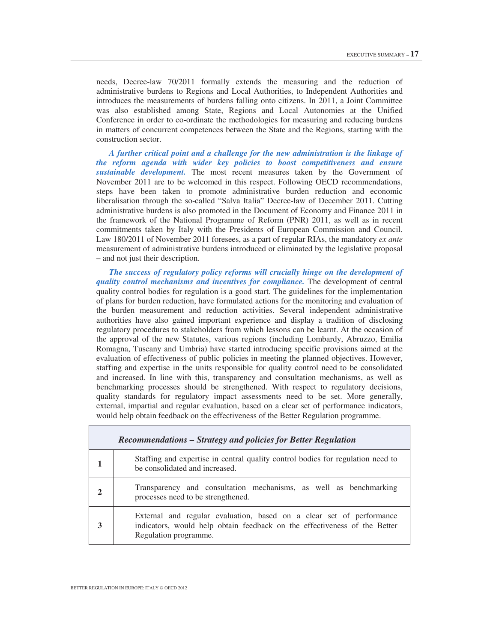needs, Decree-law 70/2011 formally extends the measuring and the reduction of administrative burdens to Regions and Local Authorities, to Independent Authorities and introduces the measurements of burdens falling onto citizens. In 2011, a Joint Committee was also established among State, Regions and Local Autonomies at the Unified Conference in order to co-ordinate the methodologies for measuring and reducing burdens in matters of concurrent competences between the State and the Regions, starting with the construction sector.

*A further critical point and a challenge for the new administration is the linkage of the reform agenda with wider key policies to boost competitiveness and ensure sustainable development.* The most recent measures taken by the Government of November 2011 are to be welcomed in this respect. Following OECD recommendations, steps have been taken to promote administrative burden reduction and economic liberalisation through the so-called "Salva Italia" Decree-law of December 2011. Cutting administrative burdens is also promoted in the Document of Economy and Finance 2011 in the framework of the National Programme of Reform (PNR) 2011, as well as in recent commitments taken by Italy with the Presidents of European Commission and Council. Law 180/2011 of November 2011 foresees, as a part of regular RIAs, the mandatory *ex ante* measurement of administrative burdens introduced or eliminated by the legislative proposal – and not just their description.

*The success of regulatory policy reforms will crucially hinge on the development of quality control mechanisms and incentives for compliance.* The development of central quality control bodies for regulation is a good start. The guidelines for the implementation of plans for burden reduction, have formulated actions for the monitoring and evaluation of the burden measurement and reduction activities. Several independent administrative authorities have also gained important experience and display a tradition of disclosing regulatory procedures to stakeholders from which lessons can be learnt. At the occasion of the approval of the new Statutes, various regions (including Lombardy, Abruzzo, Emilia Romagna, Tuscany and Umbria) have started introducing specific provisions aimed at the evaluation of effectiveness of public policies in meeting the planned objectives. However, staffing and expertise in the units responsible for quality control need to be consolidated and increased. In line with this, transparency and consultation mechanisms, as well as benchmarking processes should be strengthened. With respect to regulatory decisions, quality standards for regulatory impact assessments need to be set. More generally, external, impartial and regular evaluation, based on a clear set of performance indicators, would help obtain feedback on the effectiveness of the Better Regulation programme.

| <b>Recommendations – Strategy and policies for Better Regulation</b> |                                                                                                                                                                            |  |
|----------------------------------------------------------------------|----------------------------------------------------------------------------------------------------------------------------------------------------------------------------|--|
|                                                                      | Staffing and expertise in central quality control bodies for regulation need to<br>be consolidated and increased.                                                          |  |
| $\mathbf{2}$                                                         | Transparency and consultation mechanisms, as well as benchmarking<br>processes need to be strengthened.                                                                    |  |
| 3                                                                    | External and regular evaluation, based on a clear set of performance<br>indicators, would help obtain feedback on the effectiveness of the Better<br>Regulation programme. |  |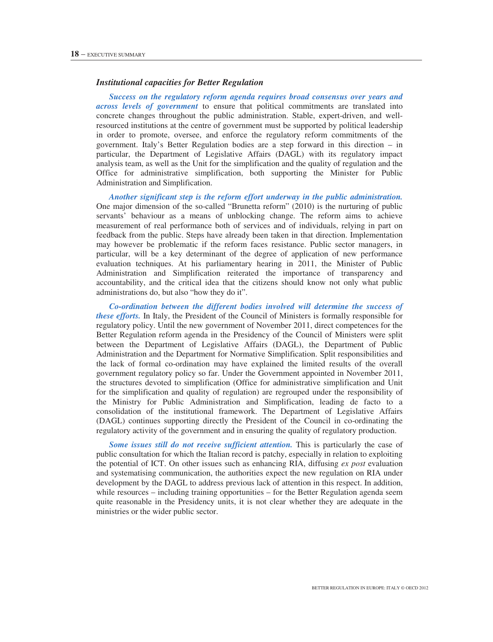#### *Institutional capacities for Better Regulation*

*Success on the regulatory reform agenda requires broad consensus over years and across levels of government* to ensure that political commitments are translated into concrete changes throughout the public administration. Stable, expert-driven, and wellresourced institutions at the centre of government must be supported by political leadership in order to promote, oversee, and enforce the regulatory reform commitments of the government. Italy's Better Regulation bodies are a step forward in this direction – in particular, the Department of Legislative Affairs (DAGL) with its regulatory impact analysis team, as well as the Unit for the simplification and the quality of regulation and the Office for administrative simplification, both supporting the Minister for Public Administration and Simplification.

*Another significant step is the reform effort underway in the public administration.* One major dimension of the so-called "Brunetta reform" (2010) is the nurturing of public servants' behaviour as a means of unblocking change. The reform aims to achieve measurement of real performance both of services and of individuals, relying in part on feedback from the public. Steps have already been taken in that direction. Implementation may however be problematic if the reform faces resistance. Public sector managers, in particular, will be a key determinant of the degree of application of new performance evaluation techniques. At his parliamentary hearing in 2011, the Minister of Public Administration and Simplification reiterated the importance of transparency and accountability, and the critical idea that the citizens should know not only what public administrations do, but also "how they do it".

*Co-ordination between the different bodies involved will determine the success of these efforts.* In Italy, the President of the Council of Ministers is formally responsible for regulatory policy. Until the new government of November 2011, direct competences for the Better Regulation reform agenda in the Presidency of the Council of Ministers were split between the Department of Legislative Affairs (DAGL), the Department of Public Administration and the Department for Normative Simplification. Split responsibilities and the lack of formal co-ordination may have explained the limited results of the overall government regulatory policy so far. Under the Government appointed in November 2011, the structures devoted to simplification (Office for administrative simplification and Unit for the simplification and quality of regulation) are regrouped under the responsibility of the Ministry for Public Administration and Simplification, leading de facto to a consolidation of the institutional framework. The Department of Legislative Affairs (DAGL) continues supporting directly the President of the Council in co-ordinating the regulatory activity of the government and in ensuring the quality of regulatory production.

*Some issues still do not receive sufficient attention.* This is particularly the case of public consultation for which the Italian record is patchy, especially in relation to exploiting the potential of ICT. On other issues such as enhancing RIA, diffusing *ex post* evaluation and systematising communication, the authorities expect the new regulation on RIA under development by the DAGL to address previous lack of attention in this respect. In addition, while resources – including training opportunities – for the Better Regulation agenda seem quite reasonable in the Presidency units, it is not clear whether they are adequate in the ministries or the wider public sector.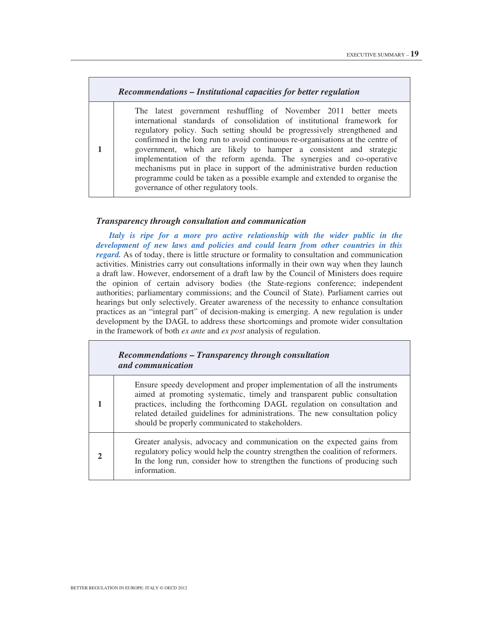# *Recommendations – Institutional capacities for better regulation*

The latest government reshuffling of November 2011 better meets international standards of consolidation of institutional framework for regulatory policy. Such setting should be progressively strengthened and confirmed in the long run to avoid continuous re-organisations at the centre of government, which are likely to hamper a consistent and strategic implementation of the reform agenda. The synergies and co-operative mechanisms put in place in support of the administrative burden reduction programme could be taken as a possible example and extended to organise the governance of other regulatory tools.

### *Transparency through consultation and communication*

**1** 

*Italy is ripe for a more pro active relationship with the wider public in the development of new laws and policies and could learn from other countries in this regard.* As of today, there is little structure or formality to consultation and communication activities. Ministries carry out consultations informally in their own way when they launch a draft law. However, endorsement of a draft law by the Council of Ministers does require the opinion of certain advisory bodies (the State-regions conference; independent authorities; parliamentary commissions; and the Council of State). Parliament carries out hearings but only selectively. Greater awareness of the necessity to enhance consultation practices as an "integral part" of decision-making is emerging. A new regulation is under development by the DAGL to address these shortcomings and promote wider consultation in the framework of both *ex ante* and *ex post* analysis of regulation.

|              | <b>Recommendations – Transparency through consultation</b><br>and communication                                                                                                                                                                                                                                                                                         |
|--------------|-------------------------------------------------------------------------------------------------------------------------------------------------------------------------------------------------------------------------------------------------------------------------------------------------------------------------------------------------------------------------|
|              | Ensure speedy development and proper implementation of all the instruments<br>aimed at promoting systematic, timely and transparent public consultation<br>practices, including the forthcoming DAGL regulation on consultation and<br>related detailed guidelines for administrations. The new consultation policy<br>should be properly communicated to stakeholders. |
| $\mathbf{2}$ | Greater analysis, advocacy and communication on the expected gains from<br>regulatory policy would help the country strengthen the coalition of reformers.<br>In the long run, consider how to strengthen the functions of producing such<br>information.                                                                                                               |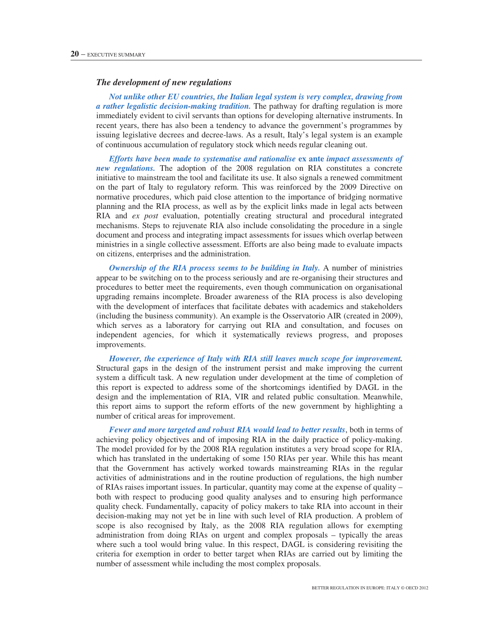### *The development of new regulations*

*Not unlike other EU countries, the Italian legal system is very complex, drawing from a rather legalistic decision-making tradition.* The pathway for drafting regulation is more immediately evident to civil servants than options for developing alternative instruments. In recent years, there has also been a tendency to advance the government's programmes by issuing legislative decrees and decree-laws. As a result, Italy's legal system is an example of continuous accumulation of regulatory stock which needs regular cleaning out.

*Efforts have been made to systematise and rationalise* **ex ante** *impact assessments of new regulations.* The adoption of the 2008 regulation on RIA constitutes a concrete initiative to mainstream the tool and facilitate its use. It also signals a renewed commitment on the part of Italy to regulatory reform. This was reinforced by the 2009 Directive on normative procedures, which paid close attention to the importance of bridging normative planning and the RIA process, as well as by the explicit links made in legal acts between RIA and *ex post* evaluation, potentially creating structural and procedural integrated mechanisms. Steps to rejuvenate RIA also include consolidating the procedure in a single document and process and integrating impact assessments for issues which overlap between ministries in a single collective assessment. Efforts are also being made to evaluate impacts on citizens, enterprises and the administration.

*Ownership of the RIA process seems to be building in Italy.* A number of ministries appear to be switching on to the process seriously and are re-organising their structures and procedures to better meet the requirements, even though communication on organisational upgrading remains incomplete. Broader awareness of the RIA process is also developing with the development of interfaces that facilitate debates with academics and stakeholders (including the business community). An example is the Osservatorio AIR (created in 2009), which serves as a laboratory for carrying out RIA and consultation, and focuses on independent agencies, for which it systematically reviews progress, and proposes improvements.

*However, the experience of Italy with RIA still leaves much scope for improvement.*  Structural gaps in the design of the instrument persist and make improving the current system a difficult task. A new regulation under development at the time of completion of this report is expected to address some of the shortcomings identified by DAGL in the design and the implementation of RIA, VIR and related public consultation. Meanwhile, this report aims to support the reform efforts of the new government by highlighting a number of critical areas for improvement.

*Fewer and more targeted and robust RIA would lead to better results*, both in terms of achieving policy objectives and of imposing RIA in the daily practice of policy-making. The model provided for by the 2008 RIA regulation institutes a very broad scope for RIA, which has translated in the undertaking of some 150 RIAs per year. While this has meant that the Government has actively worked towards mainstreaming RIAs in the regular activities of administrations and in the routine production of regulations, the high number of RIAs raises important issues. In particular, quantity may come at the expense of quality – both with respect to producing good quality analyses and to ensuring high performance quality check. Fundamentally, capacity of policy makers to take RIA into account in their decision-making may not yet be in line with such level of RIA production. A problem of scope is also recognised by Italy, as the 2008 RIA regulation allows for exempting administration from doing RIAs on urgent and complex proposals – typically the areas where such a tool would bring value. In this respect, DAGL is considering revisiting the criteria for exemption in order to better target when RIAs are carried out by limiting the number of assessment while including the most complex proposals.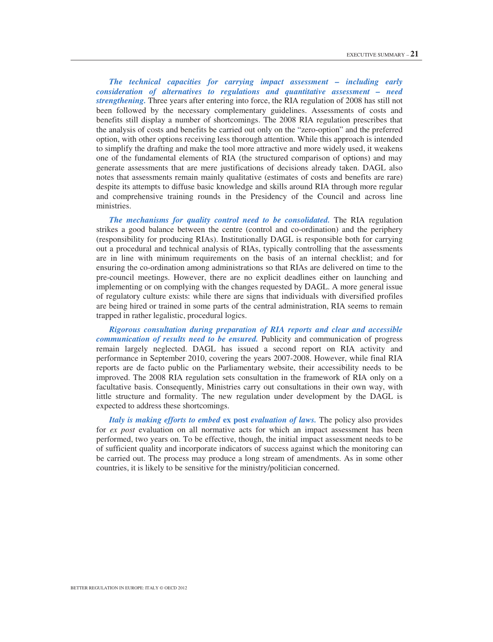*The technical capacities for carrying impact assessment – including early consideration of alternatives to regulations and quantitative assessment – need strengthening.* Three years after entering into force, the RIA regulation of 2008 has still not been followed by the necessary complementary guidelines. Assessments of costs and benefits still display a number of shortcomings. The 2008 RIA regulation prescribes that the analysis of costs and benefits be carried out only on the "zero-option" and the preferred option, with other options receiving less thorough attention. While this approach is intended to simplify the drafting and make the tool more attractive and more widely used, it weakens one of the fundamental elements of RIA (the structured comparison of options) and may generate assessments that are mere justifications of decisions already taken. DAGL also notes that assessments remain mainly qualitative (estimates of costs and benefits are rare) despite its attempts to diffuse basic knowledge and skills around RIA through more regular and comprehensive training rounds in the Presidency of the Council and across line ministries.

*The mechanisms for quality control need to be consolidated.* The RIA regulation strikes a good balance between the centre (control and co-ordination) and the periphery (responsibility for producing RIAs). Institutionally DAGL is responsible both for carrying out a procedural and technical analysis of RIAs, typically controlling that the assessments are in line with minimum requirements on the basis of an internal checklist; and for ensuring the co-ordination among administrations so that RIAs are delivered on time to the pre-council meetings. However, there are no explicit deadlines either on launching and implementing or on complying with the changes requested by DAGL. A more general issue of regulatory culture exists: while there are signs that individuals with diversified profiles are being hired or trained in some parts of the central administration, RIA seems to remain trapped in rather legalistic, procedural logics.

*Rigorous consultation during preparation of RIA reports and clear and accessible communication of results need to be ensured.* Publicity and communication of progress remain largely neglected. DAGL has issued a second report on RIA activity and performance in September 2010, covering the years 2007-2008. However, while final RIA reports are de facto public on the Parliamentary website, their accessibility needs to be improved. The 2008 RIA regulation sets consultation in the framework of RIA only on a facultative basis. Consequently, Ministries carry out consultations in their own way, with little structure and formality. The new regulation under development by the DAGL is expected to address these shortcomings.

*Italy is making efforts to embed* **ex post** *evaluation of laws.* The policy also provides for *ex post* evaluation on all normative acts for which an impact assessment has been performed, two years on. To be effective, though, the initial impact assessment needs to be of sufficient quality and incorporate indicators of success against which the monitoring can be carried out. The process may produce a long stream of amendments. As in some other countries, it is likely to be sensitive for the ministry/politician concerned.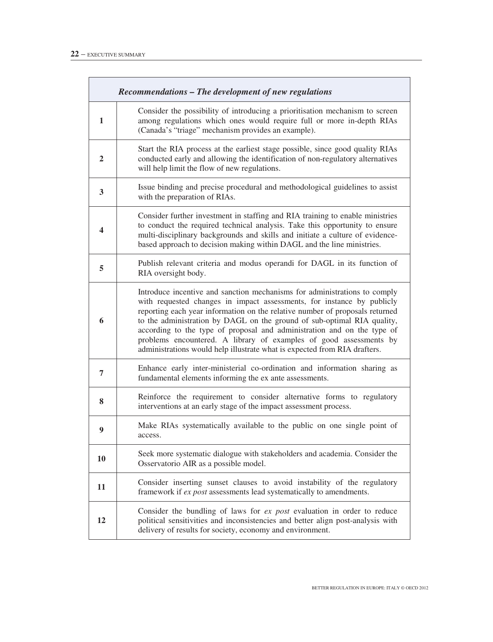| <b>Recommendations – The development of new regulations</b> |                                                                                                                                                                                                                                                                                                                                                                                                                                                                                                                                              |
|-------------------------------------------------------------|----------------------------------------------------------------------------------------------------------------------------------------------------------------------------------------------------------------------------------------------------------------------------------------------------------------------------------------------------------------------------------------------------------------------------------------------------------------------------------------------------------------------------------------------|
| $\mathbf{1}$                                                | Consider the possibility of introducing a prioritisation mechanism to screen<br>among regulations which ones would require full or more in-depth RIAs<br>(Canada's "triage" mechanism provides an example).                                                                                                                                                                                                                                                                                                                                  |
| $\overline{2}$                                              | Start the RIA process at the earliest stage possible, since good quality RIAs<br>conducted early and allowing the identification of non-regulatory alternatives<br>will help limit the flow of new regulations.                                                                                                                                                                                                                                                                                                                              |
| 3                                                           | Issue binding and precise procedural and methodological guidelines to assist<br>with the preparation of RIAs.                                                                                                                                                                                                                                                                                                                                                                                                                                |
| 4                                                           | Consider further investment in staffing and RIA training to enable ministries<br>to conduct the required technical analysis. Take this opportunity to ensure<br>multi-disciplinary backgrounds and skills and initiate a culture of evidence-<br>based approach to decision making within DAGL and the line ministries.                                                                                                                                                                                                                      |
| 5                                                           | Publish relevant criteria and modus operandi for DAGL in its function of<br>RIA oversight body.                                                                                                                                                                                                                                                                                                                                                                                                                                              |
| 6                                                           | Introduce incentive and sanction mechanisms for administrations to comply<br>with requested changes in impact assessments, for instance by publicly<br>reporting each year information on the relative number of proposals returned<br>to the administration by DAGL on the ground of sub-optimal RIA quality,<br>according to the type of proposal and administration and on the type of<br>problems encountered. A library of examples of good assessments by<br>administrations would help illustrate what is expected from RIA drafters. |
| 7                                                           | Enhance early inter-ministerial co-ordination and information sharing as<br>fundamental elements informing the ex ante assessments.                                                                                                                                                                                                                                                                                                                                                                                                          |
| 8                                                           | Reinforce the requirement to consider alternative forms to regulatory<br>interventions at an early stage of the impact assessment process.                                                                                                                                                                                                                                                                                                                                                                                                   |
| 9                                                           | Make RIAs systematically available to the public on one single point of<br>access.                                                                                                                                                                                                                                                                                                                                                                                                                                                           |
| 10                                                          | Seek more systematic dialogue with stakeholders and academia. Consider the<br>Osservatorio AIR as a possible model.                                                                                                                                                                                                                                                                                                                                                                                                                          |
| 11                                                          | Consider inserting sunset clauses to avoid instability of the regulatory<br>framework if ex post assessments lead systematically to amendments.                                                                                                                                                                                                                                                                                                                                                                                              |
| 12                                                          | Consider the bundling of laws for ex post evaluation in order to reduce<br>political sensitivities and inconsistencies and better align post-analysis with<br>delivery of results for society, economy and environment.                                                                                                                                                                                                                                                                                                                      |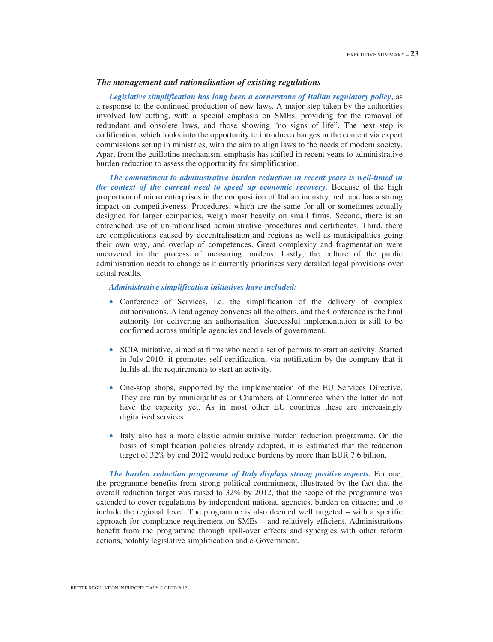### *The management and rationalisation of existing regulations*

*Legislative simplification has long been a cornerstone of Italian regulatory policy*, as a response to the continued production of new laws. A major step taken by the authorities involved law cutting, with a special emphasis on SMEs, providing for the removal of redundant and obsolete laws, and those showing "no signs of life". The next step is codification, which looks into the opportunity to introduce changes in the content via expert commissions set up in ministries, with the aim to align laws to the needs of modern society. Apart from the guillotine mechanism, emphasis has shifted in recent years to administrative burden reduction to assess the opportunity for simplification.

*The commitment to administrative burden reduction in recent years is well-timed in the context of the current need to speed up economic recovery.* Because of the high proportion of micro enterprises in the composition of Italian industry, red tape has a strong impact on competitiveness. Procedures, which are the same for all or sometimes actually designed for larger companies, weigh most heavily on small firms. Second, there is an entrenched use of un-rationalised administrative procedures and certificates. Third, there are complications caused by decentralisation and regions as well as municipalities going their own way, and overlap of competences. Great complexity and fragmentation were uncovered in the process of measuring burdens. Lastly, the culture of the public administration needs to change as it currently prioritises very detailed legal provisions over actual results.

# *Administrative simplification initiatives have included:*

- Conference of Services, i.e. the simplification of the delivery of complex authorisations. A lead agency convenes all the others, and the Conference is the final authority for delivering an authorisation. Successful implementation is still to be confirmed across multiple agencies and levels of government.
- SCIA initiative, aimed at firms who need a set of permits to start an activity. Started in July 2010, it promotes self certification, via notification by the company that it fulfils all the requirements to start an activity.
- One-stop shops, supported by the implementation of the EU Services Directive. They are run by municipalities or Chambers of Commerce when the latter do not have the capacity yet. As in most other EU countries these are increasingly digitalised services.
- Italy also has a more classic administrative burden reduction programme. On the basis of simplification policies already adopted, it is estimated that the reduction target of 32% by end 2012 would reduce burdens by more than EUR 7.6 billion.

*The burden reduction programme of Italy displays strong positive aspects.* For one, the programme benefits from strong political commitment, illustrated by the fact that the overall reduction target was raised to  $32\%$  by 2012, that the scope of the programme was extended to cover regulations by independent national agencies, burden on citizens; and to include the regional level. The programme is also deemed well targeted – with a specific approach for compliance requirement on SMEs – and relatively efficient. Administrations benefit from the programme through spill-over effects and synergies with other reform actions, notably legislative simplification and e-Government.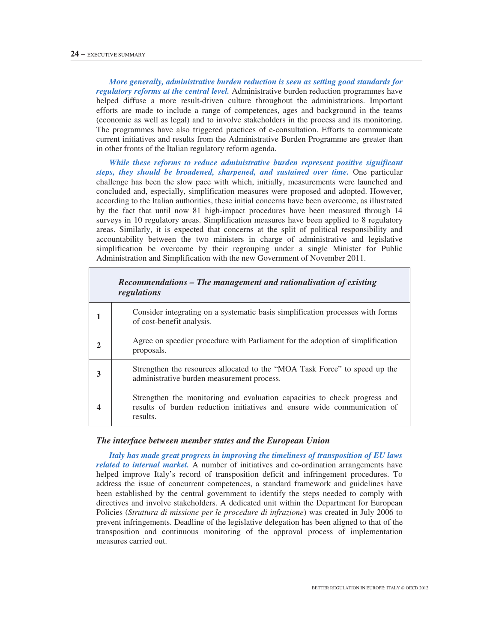*More generally, administrative burden reduction is seen as setting good standards for regulatory reforms at the central level.* Administrative burden reduction programmes have helped diffuse a more result-driven culture throughout the administrations. Important efforts are made to include a range of competences, ages and background in the teams (economic as well as legal) and to involve stakeholders in the process and its monitoring. The programmes have also triggered practices of e-consultation. Efforts to communicate current initiatives and results from the Administrative Burden Programme are greater than in other fronts of the Italian regulatory reform agenda.

*While these reforms to reduce administrative burden represent positive significant steps, they should be broadened, sharpened, and sustained over time.* One particular challenge has been the slow pace with which, initially, measurements were launched and concluded and, especially, simplification measures were proposed and adopted. However, according to the Italian authorities, these initial concerns have been overcome, as illustrated by the fact that until now 81 high-impact procedures have been measured through 14 surveys in 10 regulatory areas. Simplification measures have been applied to 8 regulatory areas. Similarly, it is expected that concerns at the split of political responsibility and accountability between the two ministers in charge of administrative and legislative simplification be overcome by their regrouping under a single Minister for Public Administration and Simplification with the new Government of November 2011.

|   | Recommendations – The management and rationalisation of existing<br>regulations                                                                                   |
|---|-------------------------------------------------------------------------------------------------------------------------------------------------------------------|
|   | Consider integrating on a systematic basis simplification processes with forms<br>of cost-benefit analysis.                                                       |
| 2 | Agree on speedier procedure with Parliament for the adoption of simplification<br>proposals.                                                                      |
| 3 | Strengthen the resources allocated to the "MOA Task Force" to speed up the<br>administrative burden measurement process.                                          |
| 4 | Strengthen the monitoring and evaluation capacities to check progress and<br>results of burden reduction initiatives and ensure wide communication of<br>results. |

#### *The interface between member states and the European Union*

*Italy has made great progress in improving the timeliness of transposition of EU laws related to internal market.* A number of initiatives and co-ordination arrangements have helped improve Italy's record of transposition deficit and infringement procedures. To address the issue of concurrent competences, a standard framework and guidelines have been established by the central government to identify the steps needed to comply with directives and involve stakeholders. A dedicated unit within the Department for European Policies (*Struttura di missione per le procedure di infrazione*) was created in July 2006 to prevent infringements. Deadline of the legislative delegation has been aligned to that of the transposition and continuous monitoring of the approval process of implementation measures carried out.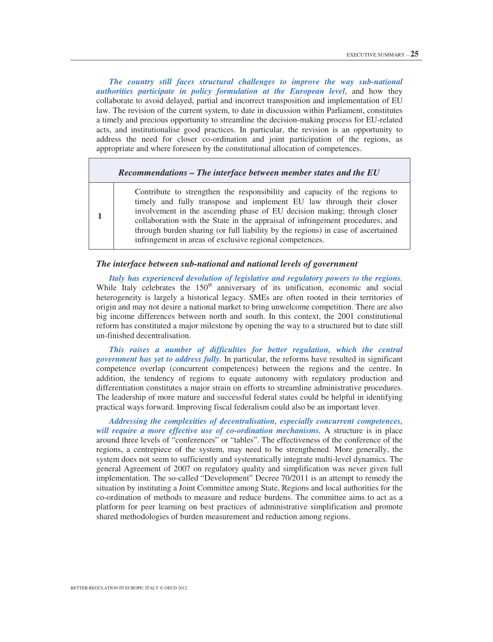*The country still faces structural challenges to improve the way sub-national authorities participate in policy formulation at the European level*, and how they collaborate to avoid delayed, partial and incorrect transposition and implementation of EU law. The revision of the current system, to date in discussion within Parliament, constitutes a timely and precious opportunity to streamline the decision-making process for EU-related acts, and institutionalise good practices. In particular, the revision is an opportunity to address the need for closer co-ordination and joint participation of the regions, as appropriate and where foreseen by the constitutional allocation of competences.

# *Recommendations – The interface between member states and the EU*

Contribute to strengthen the responsibility and capacity of the regions to timely and fully transpose and implement EU law through their closer involvement in the ascending phase of EU decision making; through closer collaboration with the State in the appraisal of infringement procedures; and through burden sharing (or full liability by the regions) in case of ascertained infringement in areas of exclusive regional competences.

# *The interface between sub-national and national levels of government*

*Italy has experienced devolution of legislative and regulatory powers to the regions.*  While Italy celebrates the  $150<sup>th</sup>$  anniversary of its unification, economic and social heterogeneity is largely a historical legacy. SMEs are often rooted in their territories of origin and may not desire a national market to bring unwelcome competition. There are also big income differences between north and south. In this context, the 2001 constitutional reform has constituted a major milestone by opening the way to a structured but to date still un-finished decentralisation.

*This raises a number of difficulties for better regulation, which the central government has yet to address fully.* In particular, the reforms have resulted in significant competence overlap (concurrent competences) between the regions and the centre. In addition, the tendency of regions to equate autonomy with regulatory production and differentiation constitutes a major strain on efforts to streamline administrative procedures. The leadership of more mature and successful federal states could be helpful in identifying practical ways forward. Improving fiscal federalism could also be an important lever.

*Addressing the complexities of decentralisation, especially concurrent competences, will require a more effective use of co-ordination mechanisms.* A structure is in place around three levels of "conferences" or "tables". The effectiveness of the conference of the regions, a centrepiece of the system, may need to be strengthened. More generally, the system does not seem to sufficiently and systematically integrate multi-level dynamics. The general Agreement of 2007 on regulatory quality and simplification was never given full implementation. The so-called "Development" Decree 70/2011 is an attempt to remedy the situation by instituting a Joint Committee among State, Regions and local authorities for the co-ordination of methods to measure and reduce burdens. The committee aims to act as a platform for peer learning on best practices of administrative simplification and promote shared methodologies of burden measurement and reduction among regions.

**1**